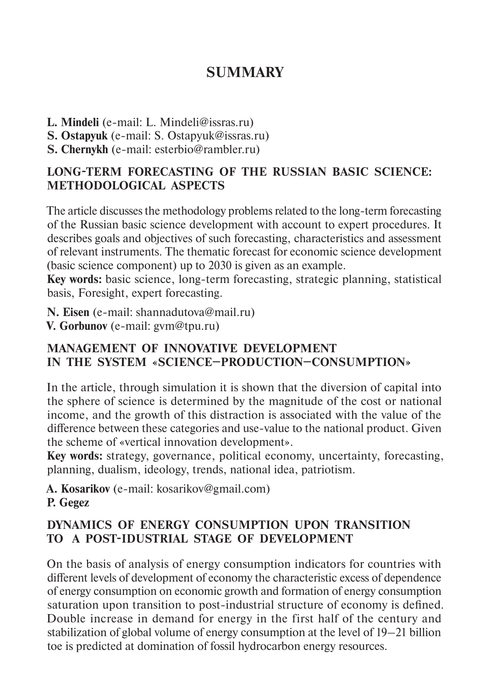# **SUMMARY**

**L. Mindeli** (e-mail: L. Mindeli@issras.ru)

**S. Ostapyuk** (e-mail: S. Ostapyuk@issras.ru)

**S. Chernykh** (e-mail: esterbio@rambler.ru)

### **LONG-TERM FORECASTING OF THE RUSSIAN BASIC SCIENCE: METHODOLOGICAL ASPECTS**

The article discusses the methodology problems related to the long-term forecasting of the Russian basic science development with account to expert procedures. It describes goals and objectives of such forecasting, characteristics and assessment of relevant instruments. The thematic forecast for economic science development (basic science component) up to 2030 is given as an example.

**Key words:** basic science, long-term forecasting, strategic planning, statistical basis, Foresight, expert forecasting.

**N. Eisen** (e-mail: shannadutova@mail.ru) **V. Gorbunov** (e-mail: gvm@tpu.ru)

### **MANAGEMENT OF INNOVATIVE DEVELOPMENT IN THE SYSTEM «SCIENCE–PRODUCTION–CONSUMPTION»**

In the article, through simulation it is shown that the diversion of capital into the sphere of science is determined by the magnitude of the cost or national income, and the growth of this distraction is associated with the value of the difference between these categories and use-value to the national product. Given the scheme of «vertical innovation development».

**Key words:** strategy, governance, political economy, uncertainty, forecasting, planning, dualism, ideology, trends, national idea, patriotism.

**A. Kosarikov** (e-mail: kosarikov@gmail.com) **P. Gegez**

### **DYNAMICS OF ENERGY CONSUMPTION UPON TRANSITION TO A POST-IDUSTRIAL STAGE OF DEVELOPMENT**

On the basis of analysis of energy consumption indicators for countries with different levels of development of economy the characteristic excess of dependence of energy consumption on economic growth and formation of energy consumption saturation upon transition to post-industrial structure of economy is defined. Double increase in demand for energy in the first half of the century and stabilization of global volume of energy consumption at the level of 19–21 billion toe is predicted at domination of fossil hydrocarbon energy resources.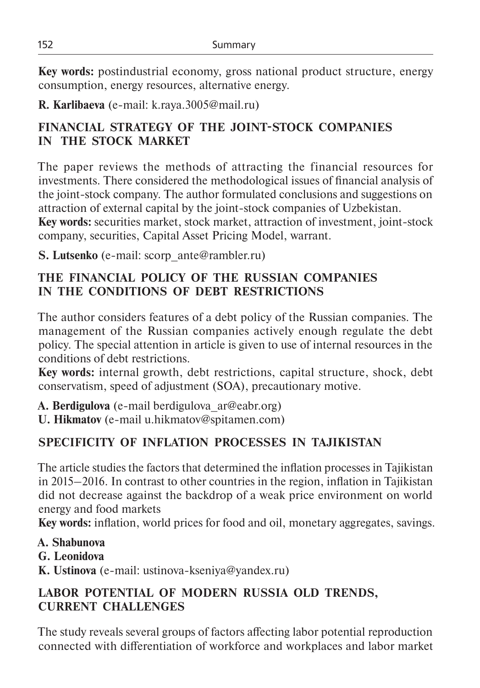**Key words:** postindustrial economy, gross national product structure, energy consumption, energy resources, alternative energy.

**R. Karlibaeva** (e-mail: k.raya.3005@mail.ru)

## **FINANCIAL STRATEGY OF THE JOINT-STOCK COMPANIES IN THE STOCK MARKET**

The paper reviews the methods of attracting the financial resources for investments. There considered the methodological issues of financial analysis of the joint-stock company. The author formulated conclusions and suggestions on attraction of external capital by the joint-stock companies of Uzbekistan. **Key words:** securities market, stock market, attraction of investment, joint-stock company, securities, Capital Asset Pricing Model, warrant.

**S. Lutsenko** (e-mail: scorp\_ante@rambler.ru)

### **THE FINANCIAL POLICY OF THE RUSSIAN COMPANIES IN THE CONDITIONS OF DEBT RESTRICTIONS**

The author considers features of a debt policy of the Russian companies. The management of the Russian companies actively enough regulate the debt policy. The special attention in article is given to use of internal resources in the conditions of debt restrictions.

**Key words:** internal growth, debt restrictions, capital structure, shock, debt conservatism, speed of adjustment (SOA), precautionary motive.

**А. Berdigulova** (e-mail berdigulova\_ar@eabr.org)

**U. Hikmatov** (e-mail u.hikmatov@spitamen.com)

## **SPECIFICITY OF INFLATION PROCESSES IN TAJIKISTAN**

The article studies the factors that determined the inflation processes in Tajikistan in 2015–2016. In contrast to other countries in the region, inflation in Tajikistan did not decrease against the backdrop of a weak price environment on world energy and food markets

**Key words:** inflation, world prices for food and oil, monetary aggregates, savings.

- **A. Shabunova**
- **G. Leonidova**
- **K. Ustinova** (e-mail: ustinova-kseniya@yandex.ru)

## **LABOR POTENTIAL OF MODERN RUSSIA OLD TRENDS, CURRENT CHALLENGES**

The study reveals several groups of factors affecting labor potential reproduction connected with differentiation of workforce and workplaces and labor market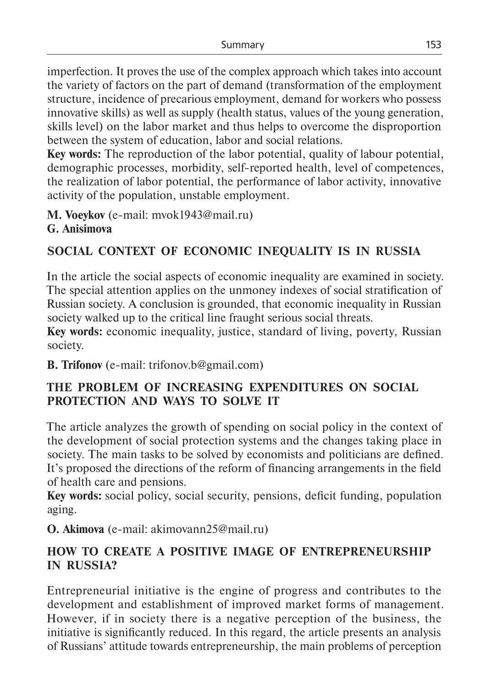imperfection. It proves the use of the complex approach which takes into account the variety of factors on the part of demand (transformation of the employment structure, incidence of precarious employment, demand for workers who possess innovative skills) as well as supply (health status, values of the young generation, skills level) on the labor market and thus helps to overcome the disproportion between the system of education, labor and social relations.

**Key words:** The reproduction of the labor potential, quality of labour potential, demographic processes, morbidity, self-reported health, level of competences, the realization of labor potential, the performance of labor activity, innovative activity of the population, unstable employment.

**M. Voeykov** (e-mail: mvok1943@mail.ru)

**G. Anisimova**

## **SOCIAL CONTEXT OF ECONOMIC INEQUALITY IS IN RUSSIA**

In the article the social aspects of economic inequality are examined in society. The special attention applies on the unmoney indexes of social stratification of Russian society. A conclusion is grounded, that economic inequality in Russian society walked up to the critical line fraught serious social threats.

**Key words:** economic inequality, justice, standard of living, poverty, Russian society.

**B. Trifonov** (е-mail: trifonov.b@gmail.com)

### **THE PROBLEM OF INCREASING EXPENDITURES ON SOCIAL PROTECTION AND WAYS TO SOLVE IT**

The article analyzes the growth of spending on social policy in the context of the development of social protection systems and the changes taking place in society. The main tasks to be solved by economists and politicians are defined. It's proposed the directions of the reform of financing arrangements in the field of health care and pensions.

**Key words:** social policy, social security, pensions, deficit funding, population aging.

**O. Akimova** (e-mail: akimovann25@mail.ru)

### **HOW TO CREATE A POSITIVE IMAGE OF ENTREPRENEURSHIP IN RUSSIA?**

Entrepreneurial initiative is the engine of progress and contributes to the development and establishment of improved market forms of management. However, if in society there is a negative perception of the business, the initiative is significantly reduced. In this regard, the article presents an analysis of Russians' attitude towards entrepreneurship, the main problems of perception